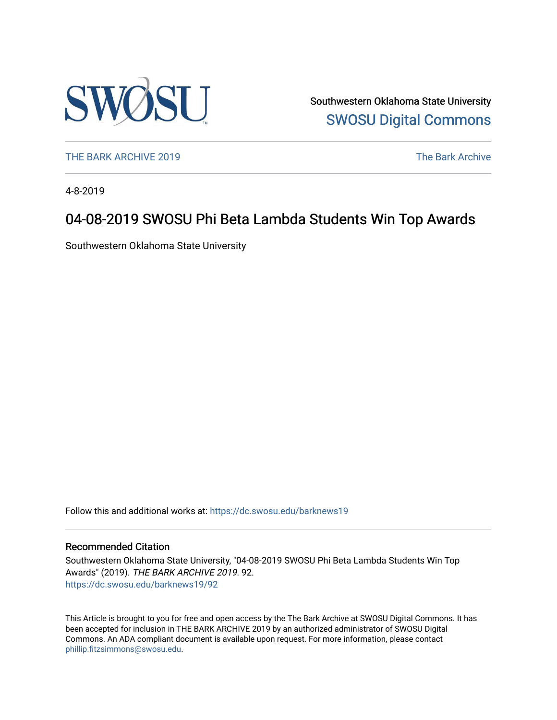

Southwestern Oklahoma State University [SWOSU Digital Commons](https://dc.swosu.edu/) 

[THE BARK ARCHIVE 2019](https://dc.swosu.edu/barknews19) The Bark Archive

4-8-2019

# 04-08-2019 SWOSU Phi Beta Lambda Students Win Top Awards

Southwestern Oklahoma State University

Follow this and additional works at: [https://dc.swosu.edu/barknews19](https://dc.swosu.edu/barknews19?utm_source=dc.swosu.edu%2Fbarknews19%2F92&utm_medium=PDF&utm_campaign=PDFCoverPages)

### Recommended Citation

Southwestern Oklahoma State University, "04-08-2019 SWOSU Phi Beta Lambda Students Win Top Awards" (2019). THE BARK ARCHIVE 2019. 92. [https://dc.swosu.edu/barknews19/92](https://dc.swosu.edu/barknews19/92?utm_source=dc.swosu.edu%2Fbarknews19%2F92&utm_medium=PDF&utm_campaign=PDFCoverPages) 

This Article is brought to you for free and open access by the The Bark Archive at SWOSU Digital Commons. It has been accepted for inclusion in THE BARK ARCHIVE 2019 by an authorized administrator of SWOSU Digital Commons. An ADA compliant document is available upon request. For more information, please contact [phillip.fitzsimmons@swosu.edu](mailto:phillip.fitzsimmons@swosu.edu).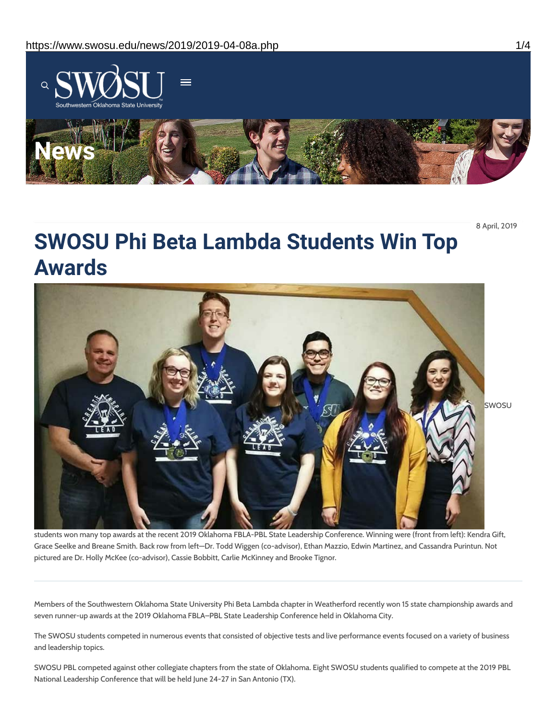

8 April, 2019

# **SWOSU Phi Beta Lambda Students Win Top Awards**



students won many top awards at the recent 2019 Oklahoma FBLA-PBL State Leadership Conference. Winning were (front from left): Kendra Gift, Grace Seelke and Breane Smith. Back row from left—Dr. Todd Wiggen (co-advisor), Ethan Mazzio, Edwin Martinez, and Cassandra Purintun. Not pictured are Dr. Holly McKee (co-advisor), Cassie Bobbitt, Carlie McKinney and Brooke Tignor.

Members of the Southwestern Oklahoma State University Phi Beta Lambda chapter in Weatherford recently won 15 state championship awards and seven runner-up awards at the 2019 Oklahoma FBLA–PBL State Leadership Conference held in Oklahoma City.

The SWOSU students competed in numerous events that consisted of objective tests and live performance events focused on a variety of business and leadership topics.

SWOSU PBL competed against other collegiate chapters from the state of Oklahoma. Eight SWOSU students qualified to compete at the 2019 PBL National Leadership Conference that will be held June 24-27 in San Antonio (TX).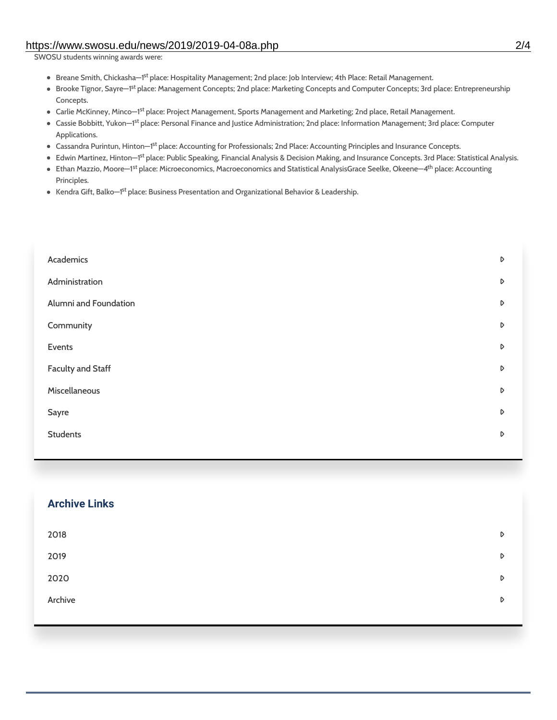### https://www.swosu.edu/news/2019/2019-04-08a.php 2/4

SWOSU students winning awards were:

- Breane Smith, Chickasha—1<sup>st</sup> place: Hospitality Management; 2nd place: Job Interview; 4th Place: Retail Management.
- Brooke Tignor, Sayre–1<sup>st</sup> place: Management Concepts; 2nd place: Marketing Concepts and Computer Concepts; 3rd place: Entrepreneurship Concepts.
- Carlie McKinney, Minco–1<sup>st</sup> place: Project Management, Sports Management and Marketing; 2nd place, Retail Management.
- Cassie Bobbitt, Yukon—1<sup>st</sup> place: Personal Finance and Justice Administration; 2nd place: Information Management; 3rd place: Computer Applications.
- Cassandra Purintun, Hinton—1<sup>st</sup> place: Accounting for Professionals; 2nd Place: Accounting Principles and Insurance Concepts.
- Edwin Martinez, Hinton—1<sup>st</sup> place: Public Speaking, Financial Analysis & Decision Making, and Insurance Concepts. 3rd Place: Statistical Analysis.
- Ethan Mazzio, Moore—1<sup>st</sup> place: Microeconomics, Macroeconomics and Statistical AnalysisGrace Seelke, Okeene—4<sup>th</sup> place: Accounting Principles.
- Kendra Gift, Balko—1<sup>st</sup> place: Business Presentation and Organizational Behavior & Leadership.

| Academics                | D                |
|--------------------------|------------------|
| Administration           | D                |
| Alumni and Foundation    | D                |
| Community                | D                |
| Events                   | D                |
| <b>Faculty and Staff</b> | D                |
| Miscellaneous            | $\triangleright$ |
| Sayre                    | D                |
| <b>Students</b>          | D                |
|                          |                  |

| <b>Archive Links</b> |   |
|----------------------|---|
| 2018                 | D |
| 2019                 | D |
| 2020                 | D |
| Archive              | D |
|                      |   |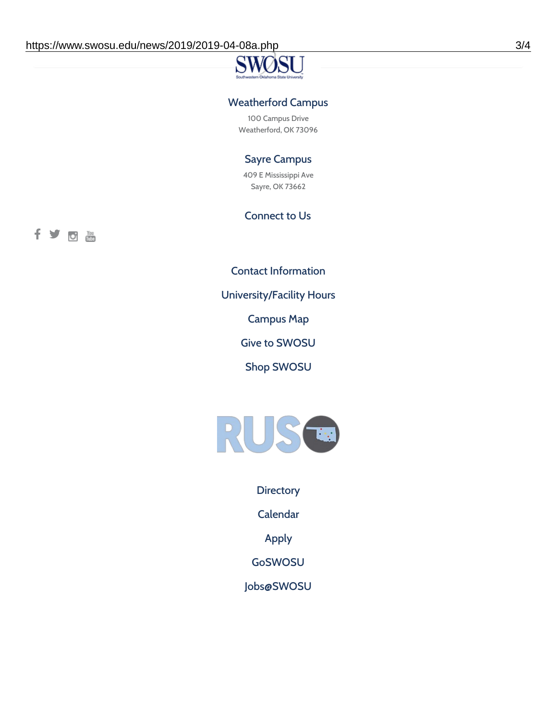## Weatherford Campus

100 Campus Drive Weatherford, OK 73096

### Sayre Campus

409 E Mississippi Ave Sayre, OK 73662

### Connect to Us

fyoth

Contact [Information](https://www.swosu.edu/about/contact.php)

[University/Facility](https://www.swosu.edu/about/operating-hours.php) Hours

[Campus](https://map.concept3d.com/?id=768#!ct/10964,10214,10213,10212,10205,10204,10203,10202,10136,10129,10128,0,31226,10130,10201,10641,0) Map

Give to [SWOSU](https://standingfirmly.com/donate)

Shop [SWOSU](https://shopswosu.merchorders.com/)



**[Directory](https://www.swosu.edu/directory/index.php)** 

[Calendar](https://eventpublisher.dudesolutions.com/swosu/)

[Apply](https://www.swosu.edu/admissions/apply-to-swosu.php)

[GoSWOSU](https://qlsso.quicklaunchsso.com/home/1267)

[Jobs@SWOSU](https://swosu.csod.com/ux/ats/careersite/1/home?c=swosu)